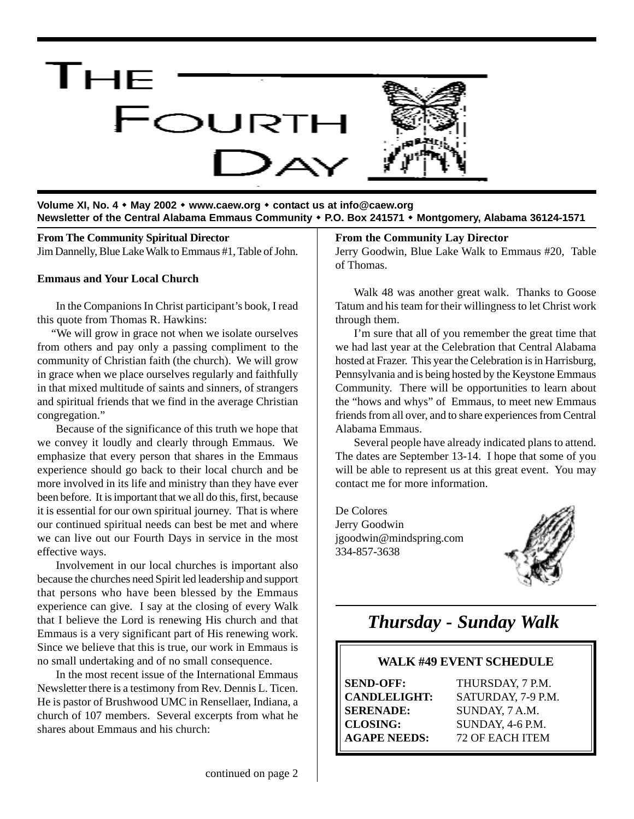

**Volume XI, No. 4 May 2002 www.caew.org contact us at info@caew.org Newsletter of the Central Alabama Emmaus Community P.O. Box 241571 Montgomery, Alabama 36124-1571**

**From The Community Spiritual Director** Jim Dannelly, Blue Lake Walk to Emmaus #1, Table of John.

#### **Emmaus and Your Local Church**

In the Companions In Christ participant's book, I read this quote from Thomas R. Hawkins:

 "We will grow in grace not when we isolate ourselves from others and pay only a passing compliment to the community of Christian faith (the church). We will grow in grace when we place ourselves regularly and faithfully in that mixed multitude of saints and sinners, of strangers and spiritual friends that we find in the average Christian congregation."

Because of the significance of this truth we hope that we convey it loudly and clearly through Emmaus. We emphasize that every person that shares in the Emmaus experience should go back to their local church and be more involved in its life and ministry than they have ever been before. It is important that we all do this, first, because it is essential for our own spiritual journey. That is where our continued spiritual needs can best be met and where we can live out our Fourth Days in service in the most effective ways.

Involvement in our local churches is important also because the churches need Spirit led leadership and support that persons who have been blessed by the Emmaus experience can give. I say at the closing of every Walk that I believe the Lord is renewing His church and that Emmaus is a very significant part of His renewing work. Since we believe that this is true, our work in Emmaus is no small undertaking and of no small consequence.

In the most recent issue of the International Emmaus Newsletter there is a testimony from Rev. Dennis L. Ticen. He is pastor of Brushwood UMC in Rensellaer, Indiana, a church of 107 members. Several excerpts from what he shares about Emmaus and his church:

### **From the Community Lay Director**

Jerry Goodwin, Blue Lake Walk to Emmaus #20, Table of Thomas.

Walk 48 was another great walk. Thanks to Goose Tatum and his team for their willingness to let Christ work through them.

I'm sure that all of you remember the great time that we had last year at the Celebration that Central Alabama hosted at Frazer. This year the Celebration is in Harrisburg, Pennsylvania and is being hosted by the Keystone Emmaus Community. There will be opportunities to learn about the "hows and whys" of Emmaus, to meet new Emmaus friends from all over, and to share experiences from Central Alabama Emmaus.

Several people have already indicated plans to attend. The dates are September 13-14. I hope that some of you will be able to represent us at this great event. You may contact me for more information.

De Colores Jerry Goodwin jgoodwin@mindspring.com 334-857-3638



# *Thursday - Sunday Walk*

### **WALK #49 EVENT SCHEDULE**

**SEND-OFF:** THURSDAY, 7 P.M.

**CANDLELIGHT:** SATURDAY, 7-9 P.M. **SERENADE:** SUNDAY, 7 A.M. **CLOSING:** SUNDAY, 4-6 P.M. **AGAPE NEEDS:** 72 OF EACH ITEM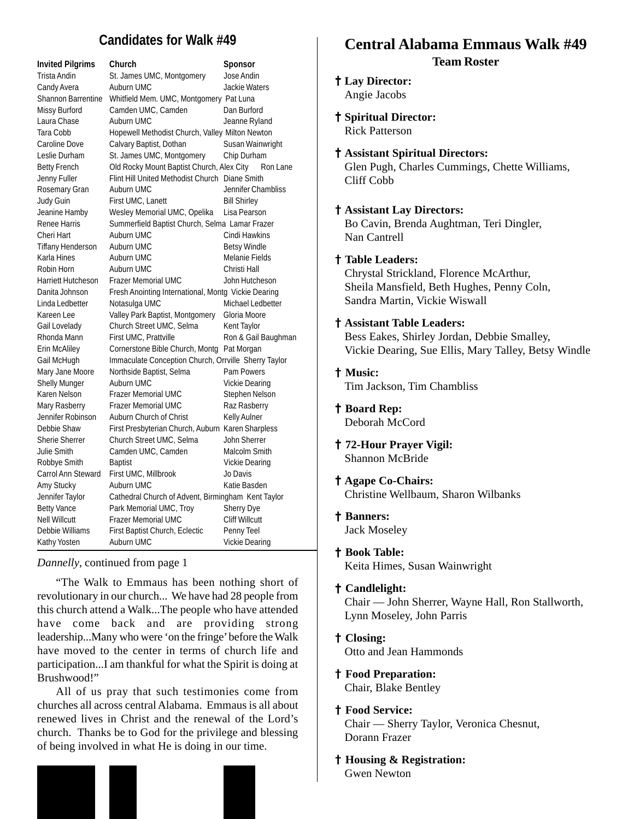# **Candidates for Walk #49**

| <b>Invited Pilgrims</b>   | Church                                               | Sponsor                   |
|---------------------------|------------------------------------------------------|---------------------------|
| Trista Andin              | St. James UMC, Montgomery                            | Jose Andin                |
| Candy Avera               | Auburn UMC                                           | <b>Jackie Waters</b>      |
| <b>Shannon Barrentine</b> | Whitfield Mem. UMC, Montgomery Pat Luna              |                           |
| Missy Burford             | Camden UMC, Camden                                   | Dan Burford               |
| Laura Chase               | Auburn UMC                                           | Jeanne Ryland             |
| Tara Cobb                 | Hopewell Methodist Church, Valley Milton Newton      |                           |
| <b>Caroline Dove</b>      | Calvary Baptist, Dothan                              | Susan Wainwright          |
| Leslie Durham             | St. James UMC, Montgomery                            | Chip Durham               |
| <b>Betty French</b>       | Old Rocky Mount Baptist Church, Alex City            | Ron Lane                  |
| Jenny Fuller              | Flint Hill United Methodist Church Diane Smith       |                           |
| Rosemary Gran             | Auburn UMC                                           | <b>Jennifer Chambliss</b> |
| Judy Guin                 | First UMC, Lanett                                    | <b>Bill Shirley</b>       |
| Jeanine Hamby             | Wesley Memorial UMC, Opelika                         | Lisa Pearson              |
| <b>Renee Harris</b>       | Summerfield Baptist Church, Selma Lamar Frazer       |                           |
| Cheri Hart                | Auburn UMC                                           | Cindi Hawkins             |
| <b>Tiffany Henderson</b>  | Auburn UMC                                           | <b>Betsy Windle</b>       |
| Karla Hines               | Auburn UMC                                           | Melanie Fields            |
| Robin Horn                | Auburn UMC                                           | Christi Hall              |
| <b>Harriett Hutcheson</b> | <b>Frazer Memorial UMC</b>                           | John Hutcheson            |
| Danita Johnson            | Fresh Anointing International, Montg Vickie Dearing  |                           |
| Linda Ledbetter           | Notasulga UMC                                        | Michael Ledbetter         |
| Kareen Lee                | Valley Park Baptist, Montgomery                      | Gloria Moore              |
| Gail Lovelady             | Church Street UMC, Selma                             | Kent Taylor               |
| Rhonda Mann               | First UMC, Prattville                                | Ron & Gail Baughman       |
| Erin McAliley             | Cornerstone Bible Church, Montg                      | Pat Morgan                |
| Gail McHugh               | Immaculate Conception Church, Orrville Sherry Taylor |                           |
| Mary Jane Moore           | Northside Baptist, Selma                             | <b>Pam Powers</b>         |
| <b>Shelly Munger</b>      | Auburn UMC                                           | Vickie Dearing            |
| Karen Nelson              | <b>Frazer Memorial UMC</b>                           | Stephen Nelson            |
| Mary Rasberry             | <b>Frazer Memorial UMC</b>                           | Raz Rasberry              |
| Jennifer Robinson         | Auburn Church of Christ                              | <b>Kelly Aulner</b>       |
| Debbie Shaw               | First Presbyterian Church, Auburn Karen Sharpless    |                           |
| <b>Sherie Sherrer</b>     | Church Street UMC, Selma                             | <b>John Sherrer</b>       |
| <b>Julie Smith</b>        | Camden UMC, Camden                                   | Malcolm Smith             |
| Robbye Smith              | <b>Baptist</b>                                       | <b>Vickie Dearing</b>     |
| Carrol Ann Steward        | First UMC, Millbrook                                 | Jo Davis                  |
| Amy Stucky                | Auburn UMC                                           | Katie Basden              |
| Jennifer Taylor           | Cathedral Church of Advent, Birmingham Kent Taylor   |                           |
| <b>Betty Vance</b>        | Park Memorial UMC, Troy                              | <b>Sherry Dye</b>         |
| <b>Nell Willcutt</b>      | <b>Frazer Memorial UMC</b>                           | <b>Cliff Willcutt</b>     |
| Debbie Williams           | First Baptist Church, Eclectic                       | Penny Teel                |
| Kathy Yosten              | Auburn UMC                                           | <b>Vickie Dearing</b>     |

*Dannelly*, continued from page 1

"The Walk to Emmaus has been nothing short of revolutionary in our church... We have had 28 people from this church attend a Walk...The people who have attended have come back and are providing strong leadership...Many who were 'on the fringe' before the Walk have moved to the center in terms of church life and participation...I am thankful for what the Spirit is doing at Brushwood!"

All of us pray that such testimonies come from churches all across central Alabama. Emmaus is all about renewed lives in Christ and the renewal of the Lord's church. Thanks be to God for the privilege and blessing of being involved in what He is doing in our time.

# **Central Alabama Emmaus Walk #49 Team Roster**

### † **Lay Director:**

Angie Jacobs

† **Spiritual Director:** Rick Patterson

#### † **Assistant Spiritual Directors:**

Glen Pugh, Charles Cummings, Chette Williams, Cliff Cobb

### † **Assistant Lay Directors:**

Bo Cavin, Brenda Aughtman, Teri Dingler, Nan Cantrell

### † **Table Leaders:**

Chrystal Strickland, Florence McArthur, Sheila Mansfield, Beth Hughes, Penny Coln, Sandra Martin, Vickie Wiswall

### † **Assistant Table Leaders:**

Bess Eakes, Shirley Jordan, Debbie Smalley, Vickie Dearing, Sue Ellis, Mary Talley, Betsy Windle

### † **Music:**

Tim Jackson, Tim Chambliss

† **Board Rep:**

Deborah McCord

- † **72-Hour Prayer Vigil:** Shannon McBride
- † **Agape Co-Chairs:** Christine Wellbaum, Sharon Wilbanks
- † **Banners:**

Jack Moseley

- † **Book Table:** Keita Himes, Susan Wainwright
- † **Candlelight:**

Chair — John Sherrer, Wayne Hall, Ron Stallworth, Lynn Moseley, John Parris

- † **Closing:** Otto and Jean Hammonds
- † **Food Preparation:** Chair, Blake Bentley
- † **Food Service:** Chair — Sherry Taylor, Veronica Chesnut, Dorann Frazer
- † **Housing & Registration:** Gwen Newton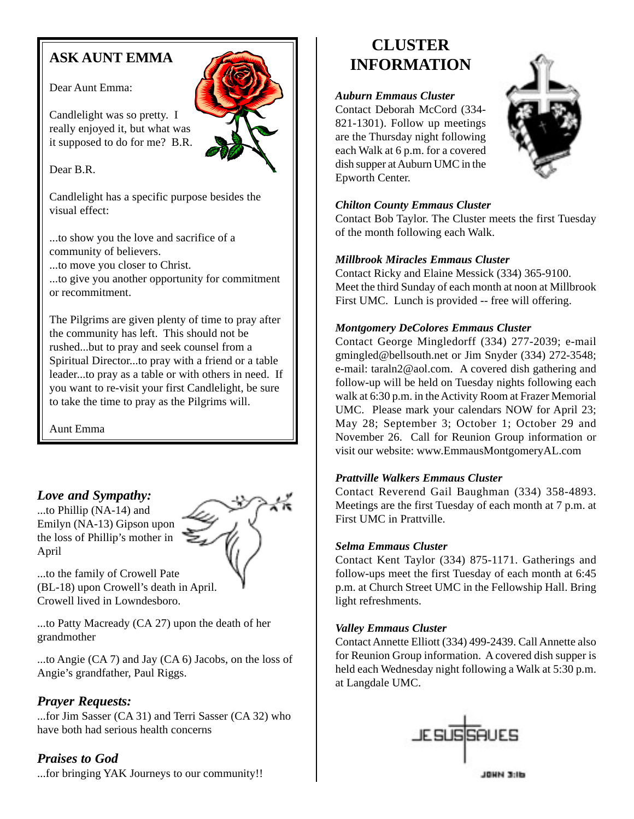# **ASK AUNT EMMA**

### Dear Aunt Emma:

Candlelight was so pretty. I really enjoyed it, but what was it supposed to do for me? B.R.

# Dear B.R.

Candlelight has a specific purpose besides the visual effect:

...to show you the love and sacrifice of a community of believers.

...to move you closer to Christ.

...to give you another opportunity for commitment or recommitment.

The Pilgrims are given plenty of time to pray after the community has left. This should not be rushed...but to pray and seek counsel from a Spiritual Director...to pray with a friend or a table leader...to pray as a table or with others in need. If you want to re-visit your first Candlelight, be sure to take the time to pray as the Pilgrims will.

Aunt Emma

# *Love and Sympathy:*

...to Phillip (NA-14) and Emilyn (NA-13) Gipson upon the loss of Phillip's mother in April



...to the family of Crowell Pate (BL-18) upon Crowell's death in April. Crowell lived in Lowndesboro.

...to Patty Macready (CA 27) upon the death of her grandmother

...to Angie (CA 7) and Jay (CA 6) Jacobs, on the loss of Angie's grandfather, Paul Riggs.

# *Prayer Requests:*

...for Jim Sasser (CA 31) and Terri Sasser (CA 32) who have both had serious health concerns

*Praises to God* ...for bringing YAK Journeys to our community!!

# **CLUSTER INFORMATION**

## *Auburn Emmaus Cluster*

Contact Deborah McCord (334- 821-1301). Follow up meetings are the Thursday night following each Walk at 6 p.m. for a covered dish supper at Auburn UMC in the Epworth Center.



## *Chilton County Emmaus Cluster*

Contact Bob Taylor. The Cluster meets the first Tuesday of the month following each Walk.

### *Millbrook Miracles Emmaus Cluster*

Contact Ricky and Elaine Messick (334) 365-9100. Meet the third Sunday of each month at noon at Millbrook First UMC. Lunch is provided -- free will offering.

## *Montgomery DeColores Emmaus Cluster*

Contact George Mingledorff (334) 277-2039; e-mail gmingled@bellsouth.net or Jim Snyder (334) 272-3548; e-mail: taraln2@aol.com. A covered dish gathering and follow-up will be held on Tuesday nights following each walk at 6:30 p.m. in the Activity Room at Frazer Memorial UMC. Please mark your calendars NOW for April 23; May 28; September 3; October 1; October 29 and November 26. Call for Reunion Group information or visit our website: www.EmmausMontgomeryAL.com

## *Prattville Walkers Emmaus Cluster*

Contact Reverend Gail Baughman (334) 358-4893. Meetings are the first Tuesday of each month at 7 p.m. at First UMC in Prattville.

## *Selma Emmaus Cluster*

Contact Kent Taylor (334) 875-1171. Gatherings and follow-ups meet the first Tuesday of each month at 6:45 p.m. at Church Street UMC in the Fellowship Hall. Bring light refreshments.

## *Valley Emmaus Cluster*

Contact Annette Elliott (334) 499-2439. Call Annette also for Reunion Group information. A covered dish supper is held each Wednesday night following a Walk at 5:30 p.m. at Langdale UMC.